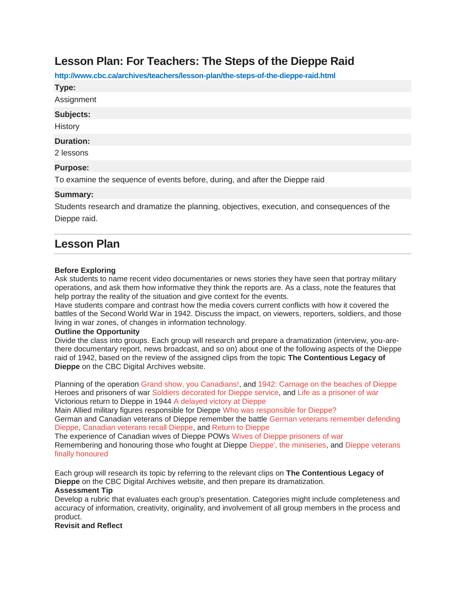# **Lesson Plan: For Teachers: The Steps of the Dieppe Raid**

**http://www.cbc.ca/archives/teachers/lesson-plan/the-steps-of-the-dieppe-raid.html**

**Type:**

Assignment

#### **Subjects:**

**History** 

### **Duration:**

2 lessons

## **Purpose:**

To examine the sequence of events before, during, and after the Dieppe raid

## **Summary:**

Students research and dramatize the planning, objectives, execution, and consequences of the Dieppe raid.

## **Lesson Plan**

## **Before Exploring**

Ask students to name recent video documentaries or news stories they have seen that portray military operations, and ask them how informative they think the reports are. As a class, note the features that help portray the reality of the situation and give context for the events.

Have students compare and contrast how the media covers current conflicts with how it covered the battles of the Second World War in 1942. Discuss the impact, on viewers, reporters, soldiers, and those living in war zones, of changes in information technology.

#### **Outline the Opportunity**

Divide the class into groups. Each group will research and prepare a dramatization (interview, you-arethere documentary report, news broadcast, and so on) about one of the following aspects of the Dieppe raid of 1942, based on the review of the assigned clips from the topic **The Contentious Legacy of Dieppe** on the CBC Digital Archives website.

Planning of the operation [Grand show, you Canadians!,](http://www.cbc.ca/archives/categories/war-conflict/second-world-war/the-contentious-legacy-of-dieppe/grand-show-you-canadians.html) and 1942: [Carnage on the beaches of Dieppe](http://www.cbc.ca/archives/categories/war-conflict/second-world-war/the-contentious-legacy-of-dieppe/carnage-on-the-beaches-of-dieppe.html) Heroes and prisoners of war [Soldiers decorated for Dieppe service,](http://www.cbc.ca/archives/categories/war-conflict/second-world-war/the-contentious-legacy-of-dieppe/soldiers-decorated-for-dieppe-service.html) and [Life as a prisoner of war](http://www.cbc.ca/archives/categories/war-conflict/second-world-war/the-contentious-legacy-of-dieppe/life-as-a-prisoner-of-war.html) Victorious return to Dieppe in 1944 [A delayed victory at Dieppe](http://www.cbc.ca/archives/categories/war-conflict/second-world-war/the-contentious-legacy-of-dieppe/a-delayed-victory-at-dieppe.html)

Main Allied military figures responsible for Dieppe [Who was responsible for Dieppe?](http://www.cbc.ca/archives/categories/war-conflict/second-world-war/the-contentious-legacy-of-dieppe/who-was-responsible-for-dieppe.html) German and Canadian veterans of Dieppe remember the battle [German veterans remember defending](http://www.cbc.ca/archives/categories/war-conflict/second-world-war/the-contentious-legacy-of-dieppe/german-veterans-remember-defending-dieppe.html)  [Dieppe,](http://www.cbc.ca/archives/categories/war-conflict/second-world-war/the-contentious-legacy-of-dieppe/german-veterans-remember-defending-dieppe.html) [Canadian veterans recall Dieppe,](http://www.cbc.ca/archives/categories/war-conflict/second-world-war/the-contentious-legacy-of-dieppe-part-2/they-threw-everything-at-us.html) and [Return to Dieppe](http://www.cbc.ca/archives/categories/war-conflict/second-world-war/the-contentious-legacy-of-dieppe-part-2/return-to-dieppe.html)

The experience of Canadian wives of Dieppe POWs [Wives of Dieppe prisoners of war](http://www.cbc.ca/archives/categories/war-conflict/second-world-war/the-contentious-legacy-of-dieppe-part-2/wives-of-dieppe-prisoners-of-war.html) Remembering and honouring those who fought at Dieppe [Dieppe', the miniseries,](http://www.cbc.ca/archives/categories/war-conflict/second-world-war/the-contentious-legacy-of-dieppe-part-2/dieppe-the-miniseries.html) and [Dieppe veterans](http://www.cbc.ca/archives/categories/war-conflict/second-world-war/the-contentious-legacy-of-dieppe-part-2/dieppe-veterans-honoured.html)  [finally honoured](http://www.cbc.ca/archives/categories/war-conflict/second-world-war/the-contentious-legacy-of-dieppe-part-2/dieppe-veterans-honoured.html)

Each group will research its topic by referring to the relevant clips on **The Contentious Legacy of Dieppe** on the CBC Digital Archives website, and then prepare its dramatization.

#### **Assessment Tip**

Develop a rubric that evaluates each group's presentation. Categories might include completeness and accuracy of information, creativity, originality, and involvement of all group members in the process and product.

**Revisit and Reflect**